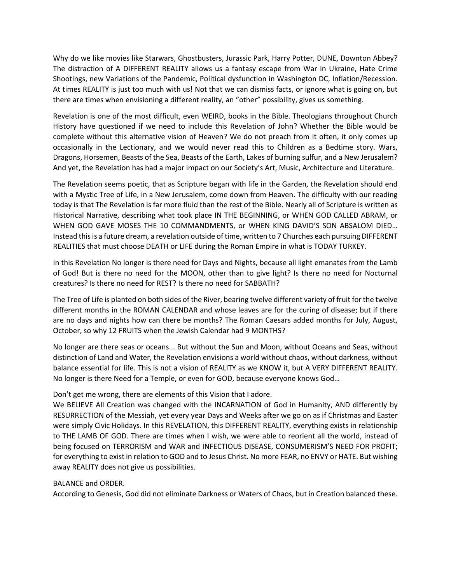Why do we like movies like Starwars, Ghostbusters, Jurassic Park, Harry Potter, DUNE, Downton Abbey? The distraction of A DIFFERENT REALITY allows us a fantasy escape from War in Ukraine, Hate Crime Shootings, new Variations of the Pandemic, Political dysfunction in Washington DC, Inflation/Recession. At times REALITY is just too much with us! Not that we can dismiss facts, or ignore what is going on, but there are times when envisioning a different reality, an "other" possibility, gives us something.

Revelation is one of the most difficult, even WEIRD, books in the Bible. Theologians throughout Church History have questioned if we need to include this Revelation of John? Whether the Bible would be complete without this alternative vision of Heaven? We do not preach from it often, it only comes up occasionally in the Lectionary, and we would never read this to Children as a Bedtime story. Wars, Dragons, Horsemen, Beasts of the Sea, Beasts of the Earth, Lakes of burning sulfur, and a New Jerusalem? And yet, the Revelation has had a major impact on our Society's Art, Music, Architecture and Literature.

The Revelation seems poetic, that as Scripture began with life in the Garden, the Revelation should end with a Mystic Tree of Life, in a New Jerusalem, come down from Heaven. The difficulty with our reading today is that The Revelation is far more fluid than the rest of the Bible. Nearly all of Scripture is written as Historical Narrative, describing what took place IN THE BEGINNING, or WHEN GOD CALLED ABRAM, or WHEN GOD GAVE MOSES THE 10 COMMANDMENTS, or WHEN KING DAVID'S SON ABSALOM DIED… Instead this is a future dream, a revelation outside of time, written to 7 Churches each pursuing DIFFERENT REALITIES that must choose DEATH or LIFE during the Roman Empire in what is TODAY TURKEY.

In this Revelation No longer is there need for Days and Nights, because all light emanates from the Lamb of God! But is there no need for the MOON, other than to give light? Is there no need for Nocturnal creatures? Is there no need for REST? Is there no need for SABBATH?

The Tree of Life is planted on both sides of the River, bearing twelve different variety of fruit for the twelve different months in the ROMAN CALENDAR and whose leaves are for the curing of disease; but if there are no days and nights how can there be months? The Roman Caesars added months for July, August, October, so why 12 FRUITS when the Jewish Calendar had 9 MONTHS?

No longer are there seas or oceans... But without the Sun and Moon, without Oceans and Seas, without distinction of Land and Water, the Revelation envisions a world without chaos, without darkness, without balance essential for life. This is not a vision of REALITY as we KNOW it, but A VERY DIFFERENT REALITY. No longer is there Need for a Temple, or even for GOD, because everyone knows God…

## Don't get me wrong, there are elements of this Vision that I adore.

We BELIEVE All Creation was changed with the INCARNATION of God in Humanity, AND differently by RESURRECTION of the Messiah, yet every year Days and Weeks after we go on as if Christmas and Easter were simply Civic Holidays. In this REVELATION, this DIFFERENT REALITY, everything exists in relationship to THE LAMB OF GOD. There are times when I wish, we were able to reorient all the world, instead of being focused on TERRORISM and WAR and INFECTIOUS DISEASE, CONSUMERISM'S NEED FOR PROFIT; for everything to exist in relation to GOD and to Jesus Christ. No more FEAR, no ENVY or HATE. But wishing away REALITY does not give us possibilities.

## BALANCE and ORDER.

According to Genesis, God did not eliminate Darkness or Waters of Chaos, but in Creation balanced these.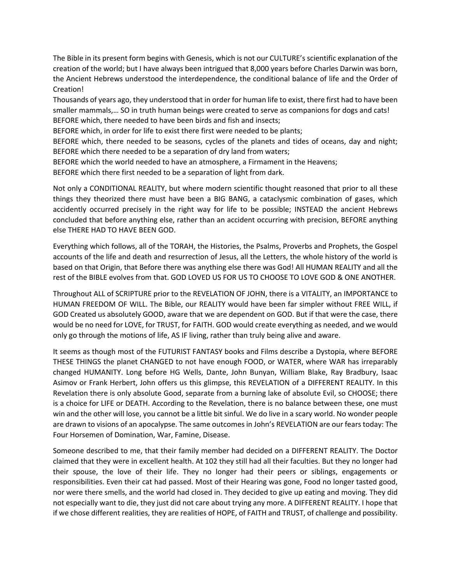The Bible in its present form begins with Genesis, which is not our CULTURE's scientific explanation of the creation of the world; but I have always been intrigued that 8,000 years before Charles Darwin was born, the Ancient Hebrews understood the interdependence, the conditional balance of life and the Order of Creation!

Thousands of years ago, they understood that in order for human life to exist, there first had to have been smaller mammals,… SO in truth human beings were created to serve as companions for dogs and cats! BEFORE which, there needed to have been birds and fish and insects;

BEFORE which, in order for life to exist there first were needed to be plants;

BEFORE which, there needed to be seasons, cycles of the planets and tides of oceans, day and night; BEFORE which there needed to be a separation of dry land from waters;

BEFORE which the world needed to have an atmosphere, a Firmament in the Heavens;

BEFORE which there first needed to be a separation of light from dark.

Not only a CONDITIONAL REALITY, but where modern scientific thought reasoned that prior to all these things they theorized there must have been a BIG BANG, a cataclysmic combination of gases, which accidently occurred precisely in the right way for life to be possible; INSTEAD the ancient Hebrews concluded that before anything else, rather than an accident occurring with precision, BEFORE anything else THERE HAD TO HAVE BEEN GOD.

Everything which follows, all of the TORAH, the Histories, the Psalms, Proverbs and Prophets, the Gospel accounts of the life and death and resurrection of Jesus, all the Letters, the whole history of the world is based on that Origin, that Before there was anything else there was God! All HUMAN REALITY and all the rest of the BIBLE evolves from that. GOD LOVED US FOR US TO CHOOSE TO LOVE GOD & ONE ANOTHER.

Throughout ALL of SCRIPTURE prior to the REVELATION OF JOHN, there is a VITALITY, an IMPORTANCE to HUMAN FREEDOM OF WILL. The Bible, our REALITY would have been far simpler without FREE WILL, if GOD Created us absolutely GOOD, aware that we are dependent on GOD. But if that were the case, there would be no need for LOVE, for TRUST, for FAITH. GOD would create everything as needed, and we would only go through the motions of life, AS IF living, rather than truly being alive and aware.

It seems as though most of the FUTURIST FANTASY books and Films describe a Dystopia, where BEFORE THESE THINGS the planet CHANGED to not have enough FOOD, or WATER, where WAR has irreparably changed HUMANITY. Long before HG Wells, Dante, John Bunyan, William Blake, Ray Bradbury, Isaac Asimov or Frank Herbert, John offers us this glimpse, this REVELATION of a DIFFERENT REALITY. In this Revelation there is only absolute Good, separate from a burning lake of absolute Evil, so CHOOSE; there is a choice for LIFE or DEATH. According to the Revelation, there is no balance between these, one must win and the other will lose, you cannot be a little bit sinful. We do live in a scary world. No wonder people are drawn to visions of an apocalypse. The same outcomes in John's REVELATION are our fears today: The Four Horsemen of Domination, War, Famine, Disease.

Someone described to me, that their family member had decided on a DIFFERENT REALITY. The Doctor claimed that they were in excellent health. At 102 they still had all their faculties. But they no longer had their spouse, the love of their life. They no longer had their peers or siblings, engagements or responsibilities. Even their cat had passed. Most of their Hearing was gone, Food no longer tasted good, nor were there smells, and the world had closed in. They decided to give up eating and moving. They did not especially want to die, they just did not care about trying any more. A DIFFERENT REALITY. I hope that if we chose different realities, they are realities of HOPE, of FAITH and TRUST, of challenge and possibility.